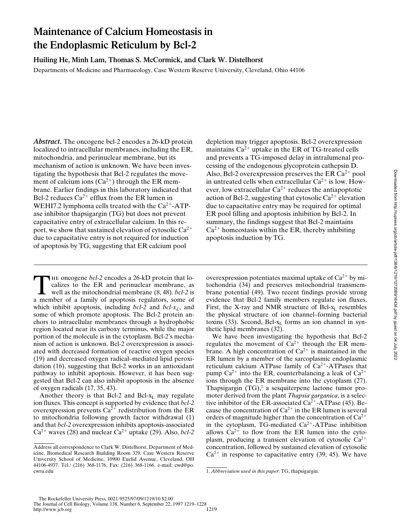# **Maintenance of Calcium Homeostasis in the Endoplasmic Reticulum by Bcl-2**

**Huiling He, Minh Lam, Thomas S. McCormick, and Clark W. Distelhorst**

Departments of Medicine and Pharmacology, Case Western Reserve University, Cleveland, Ohio 44106

*Abstract.* The oncogene bcl-2 encodes a 26-kD protein localized to intracellular membranes, including the ER, mitochondria, and perinuclear membrane, but its mechanism of action is unknown. We have been investigating the hypothesis that Bcl-2 regulates the movement of calcium ions  $(Ca^{2+})$  through the ER membrane. Earlier findings in this laboratory indicated that Bcl-2 reduces  $Ca^{2+}$  efflux from the ER lumen in WEHI7.2 lymphoma cells treated with the  $Ca^{2+}-ATP$ ase inhibitor thapsigargin (TG) but does not prevent capacitative entry of extracellular calcium. In this report, we show that sustained elevation of cytosolic  $Ca^{2+}$ due to capacitative entry is not required for induction of apoptosis by TG, suggesting that ER calcium pool

The oncogene *bcl-2* encodes a 26-kD protein that localizes to the ER and perinuclear membrane, as well as the mitochondrial membrane (8, 48). *bcl-2* is a member of a family of apoptosis regulators, some of which inhibit apoptosis, including  $bcl-2$  and  $bcl-x<sub>L</sub>$ , and some of which promote apoptosis. The Bcl-2 protein anchors to intracellular membranes through a hydrophobic region located near its carboxy terminus, while the major portion of the molecule is in the cytoplasm. Bcl-2's mechanism of action is unknown. Bcl-2 overexpression is associated with decreased formation of reactive oxygen species (19) and decreased oxygen radical–mediated lipid peroxidation (16), suggesting that Bcl-2 works in an antioxidant pathway to inhibit apoptosis. However, it has been suggested that Bcl-2 can also inhibit apoptosis in the absence of oxygen radicals (17, 35, 43).

Another theory is that Bcl-2 and Bcl- $x_L$  may regulate ion fluxes. This concept is supported by evidence that *bcl-2* overexpression prevents  $Ca^{2+}$  redistribution from the ER to mitochondria following growth factor withdrawal (1) and that *bcl-2* overexpression inhibits apoptosis-associated  $Ca^{2+}$  waves (28) and nuclear  $Ca^{2+}$  uptake (29). Also, *bcl*-2 depletion may trigger apoptosis. Bcl-2 overexpression maintains  $Ca^{2+}$  uptake in the ER of TG-treated cells and prevents a TG-imposed delay in intralumenal processing of the endogenous glycoprotein cathepsin D. Also, Bcl-2 overexpression preserves the ER  $Ca^{2+}$  pool in untreated cells when extracellular  $Ca^{2+}$  is low. However, low extracellular  $Ca^{2+}$  reduces the antiapoptotic action of Bcl-2, suggesting that cytosolic  $Ca^{2+}$  elevation due to capacitative entry may be required for optimal ER pool filling and apoptosis inhibition by Bcl-2. In summary, the findings suggest that Bcl-2 maintains  $Ca^{2+}$  homeostasis within the ER, thereby inhibiting apoptosis induction by TG.

overexpression potentiates maximal uptake of  $Ca^{2+}$  by mitochondria (34) and preserves mitochondrial transmembrane potential (49). Two recent findings provide strong evidence that Bcl-2 family members regulate ion fluxes. First, the X-ray and NMR structure of Bcl- $x_L$  resembles the physical structure of ion channel–forming bacterial toxins (33). Second, Bcl- $x_L$  forms an ion channel in synthetic lipid membranes (32).

We have been investigating the hypothesis that Bcl-2 regulates the movement of  $Ca^{2+}$  through the ER membrane. A high concentration of  $Ca^{2+}$  is maintained in the ER lumen by a member of the sarcoplasmic endoplasmic reticulum calcium ATPase family of  $Ca<sup>2+</sup>$ -ATPases that pump  $Ca^{2+}$  into the ER, counterbalancing a leak of  $Ca^{2+}$ ions through the ER membrane into the cytoplasm (27). Thapsigargin  $(TG)$ ,<sup>1</sup> a sesquiterpene lactone tumor promoter derived from the plant *Thapsia garganica*, is a selective inhibitor of the ER-associated  $Ca^{2+}$ -ATPase (45). Because the concentration of  $Ca^{2+}$  in the ER lumen is several orders of magnitude higher than the concentration of  $Ca^{2+}$ in the cytoplasm, TG-mediated  $Ca^{2+}-ATP$ ase inhibition allows  $Ca^{2+}$  to flow from the ER lumen into the cytoplasm, producing a transient elevation of cytosolic  $Ca^{2+}$ concentration, followed by sustained elevation of cytosolic  $Ca^{2+}$  in response to capacitative entry (39, 45). We have

Address all correspondence to Clark W. Distelhorst, Department of Medicine, Biomedical Research Building Room 329, Case Western Reserve University School of Medicine, 10900 Euclid Avenue, Cleveland, OH 44106-4937. Tel.: (216) 368-1176. Fax: (216) 368-1166. e-mail: cwd@po. cwru.edu 1. *Abbreviation used in this paper*: TG, thapsigargin.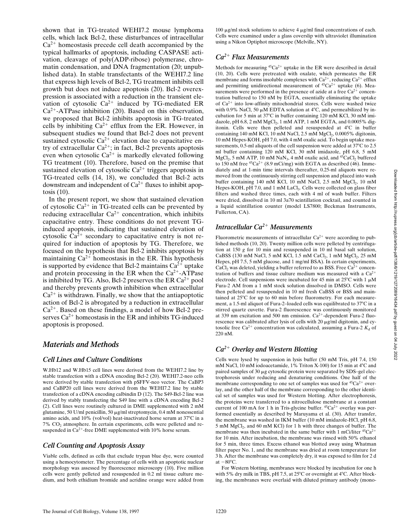shown that in TG-treated WEHI7.2 mouse lymphoma cells, which lack Bcl-2, these disturbances of intracellular  $Ca<sup>2+</sup>$  homeostasis precede cell death accompanied by the typical hallmarks of apoptosis, including CASPASE activation, cleavage of poly(ADP-ribose) polymerase, chromatin condensation, and DNA fragmentation (20; unpublished data). In stable transfectants of the WEHI7.2 line that express high levels of Bcl-2, TG treatment inhibits cell growth but does not induce apoptosis (20). Bcl-2 overexpression is associated with a reduction in the transient elevation of cytosolic  $Ca^{2+}$  induced by TG-mediated ER  $Ca^{2+}$ -ATPase inhibition (20). Based on this observation, we proposed that Bcl-2 inhibits apoptosis in TG-treated cells by inhibiting  $Ca^{2+}$  efflux from the ER. However, in subsequent studies we found that Bcl-2 does not prevent sustained cytosolic  $Ca^{2+}$  elevation due to capacitative entry of extracellular  $Ca^{2+}$ ; in fact, Bcl-2 prevents apoptosis even when cytosolic  $Ca^{2+}$  is markedly elevated following TG treatment (10). Therefore, based on the premise that sustained elevation of cytosolic  $Ca^{2+}$  triggers apoptosis in TG-treated cells (14, 18), we concluded that Bcl-2 acts downstream and independent of  $Ca^{2+}$  fluxes to inhibit apoptosis (10).

In the present report, we show that sustained elevation of cytosolic  $Ca^{2+}$  in TG-treated cells can be prevented by reducing extracellular  $Ca^{2+}$  concentration, which inhibits capacitative entry. These conditions do not prevent TGinduced apoptosis, indicating that sustained elevation of cytosolic  $Ca^{2+}$  secondary to capacitative entry is not required for induction of apoptosis by TG. Therefore, we focused on the hypothesis that Bcl-2 inhibits apoptosis by maintaining  $Ca^{2+}$  homeostasis in the ER. This hypothesis is supported by evidence that Bcl-2 maintains  $Ca^{2+}$  uptake and protein processing in the ER when the  $Ca^{2+}$ -ATPase is inhibited by TG. Also, Bcl-2 preserves the ER  $Ca^{2+}$  pool and thereby prevents growth inhibition when extracellular  $Ca^{2+}$  is withdrawn. Finally, we show that the antiapoptotic action of Bcl-2 is abrogated by a reduction in extracellular  $Ca<sup>2+</sup>$ . Based on these findings, a model of how Bcl-2 preserves  $Ca^{2+}$  homeostasis in the ER and inhibits TG-induced apoptosis is proposed.

## *Materials and Methods*

### *Cell Lines and Culture Conditions*

W.Hb12 and W.Hb15 cell lines were derived from the WEHI7.2 line by stable transfection with a cDNA encoding Bcl-2 (20). WEHI7.2-neo cells were derived by stable transfection with pSFFV-neo vector. The CaBP3 and CaBP20 cell lines were derived from the WEHI7.2 line by stable transfection of a cDNA encoding calbindin D (12). The S49-Bcl-2 line was derived by stably transfecting the S49 line with a cDNA encoding Bcl-2 (2). Cell lines were routinely cultured in DME supplemented with 2 mM glutamine, 50 U/ml penicillin, 50  $\mu$ g/ml streptomycin, 0.4 mM nonessential amino acids, and 10% (vol/vol) heat-inactivated horse serum at 37°C in a  $7\%$  CO<sub>2</sub> atmosphere. In certain experiments, cells were pelleted and resuspended in  $Ca^{2+}$ -free DME supplemented with 10% horse serum.

### *Cell Counting and Apoptosis Assay*

Viable cells, defined as cells that exclude trypan blue dye, were counted using a hemocytometer. The percentage of cells with an apoptotic nuclear morphology was assessed by fluorescence microscopy (10). Five million cells were gently pelleted and resuspended in 0.2 ml tissue culture medium, and both ethidium bromide and acridine orange were added from

100  $\mu$ g/ml stock solutions to achieve 4  $\mu$ g/ml final concentrations of each. Cells were examined under a glass coverslip with ultraviolet illumination using a Nikon Optiphot microscope (Melville, NY).

## *Ca2*<sup>1</sup> *Flux Measurements*

Methods for measuring  ${}^{45}Ca^{2+}$  uptake in the ER were described in detail (10, 20). Cells were pretreated with oxalate, which permeates the ER membrane and forms insoluble complexes with  $Ca^{2+}$ , reducing  $Ca^{2+}$  efflux and permitting unidirectional measurement of  ${}^{45}Ca^{2+}$  uptake (6). Measurements were performed in the presence of azide at a free  $Ca^{2+}$  concentration buffered to 150 nM by EGTA, essentially eliminating the uptake of  $Ca^{2+}$  into low-affinity mitochondrial stores. Cells were washed twice with 0.9% NaCl, 50  $\mu$ M EDTA solution at 4°C, and permeabilized by incubation for 5 min at  $37^{\circ}$ C in buffer containing 120 mM KCl, 30 mM imidazole, pH  $6.8$ , 2 mM  $MgCl<sub>2</sub>$ , 1 mM ATP, 1 mM EGTA, and 0.0005% digitonin. Cells were then pelleted and resuspended at 4°C in buffer containing 140 mM KCl, 10 mM NaCl, 2.5 mM  $MgCl<sub>2</sub>$ , 0.0005% digitonin, 10 mM Hepes-KOH, pH 7.0, with 4 mM oxalic acid. To begin uptake measurements, 0.5-ml aliquots of the cell suspension were added at  $37^{\circ}$ C to 2.5 ml buffer containing 120 mM KCl, 30 mM imidazole, pH 6.8, 5 mM MgCl<sub>2</sub>, 5 mM ATP, 10 mM NaN<sub>3</sub>, 4 mM oxalic acid, and <sup>45</sup>CaCl<sub>2</sub> buffered to 150 nM free  ${}^{45}Ca^{2+}$  (8.9 mCi/mg) with EGTA as described (46). Immediately and at 1-min time intervals thereafter, 0.25-ml aliquots were removed from the continuously stirring cell suspension and placed into wash buffer containing 140 mM KCl, 10 mM NaCl, 2.5 mM MgCl<sub>2</sub>, 10 mM Hepes-KOH, pH 7.0, and 1 mM LaCl<sub>3</sub>. Cells were collected on glass fiber filters and washed three times, each with 4 ml of wash buffer. Filters were dried, dissolved in 10 ml 3a70 scintillation cocktail, and counted in a liquid scintillation counter (model LS7800; Beckman Instruments, Fullerton, CA).

## *Intracellular Ca2*<sup>1</sup> *Measurements*

Fluorometric measurements of intracellular  $Ca^{2+}$  were according to published methods (10, 20). Twenty million cells were pelleted by centrifugation at 150 *g* for 10 min and resuspended in 10 ml basal salt solution, CaBSS (130 mM NaCl, 5 mM KCl, 1.5 mM CaCl<sub>2</sub>, 1 mM  $MgCl<sub>2</sub>$ , 25 mM Hepes, pH 7.5, 5 mM glucose, and 1 mg/ml BSA). In certain experiments,  $CaCl<sub>2</sub>$  was deleted, yielding a buffer referred to as BSS. Free  $Ca<sup>2+</sup>$  concentration of buffers and tissue culture medium was measured with a  $Ca^{2+}$ electrode. Cell suspensions were incubated for 45 min at  $25^{\circ}$ C with 1  $\mu$ M Fura-2 AM from a 1 mM stock solution dissolved in DMSO. Cells were then pelleted and resuspended in 10 ml fresh CaBSS or BSS and maintained at  $25^{\circ}$ C for up to 60 min before fluorometry. For each measurement, a 1.5-ml aliquot of Fura-2-loaded cells was equilibrated to  $37^{\circ}$ C in a stirred quartz cuvette. Fura-2 fluorescence was continuously monitored at 339 nm excitation and 500 nm emission.  $Ca^{2+}$ -dependent Fura-2 fluorescence was calibrated after lysis of cells with 20  $\mu$ g/ml digitonin, and cytosolic free Ca<sup>2+</sup> concentration was calculated, assuming a Fura-2  $K_d$  of 220 nM.

## *Ca2*<sup>1</sup> *Overlay and Western Blotting*

Cells were lysed by suspension in lysis buffer (50 mM Tris, pH 7.4, 150 mM NaCl, 10 mM iodoacetamide, 1% Triton X-100) for 15 min at  $4^{\circ}$ C and paired samples of 30 µg cytosolic protein were separated by SDS–gel electrophoresis under reducing and denaturing conditions. One half of the membrane corresponding to one set of samples was used for  ${}^{45}Ca^{2+}$  overlay, and the other half of the membrane corresponding to the other identical set of samples was used for Western blotting. After electrophoresis, the proteins were transferred to a nitrocellulose membrane at a constant current of 100 mA for 1 h in Tris-glycine buffer.  $45Ca^{2+}$  overlay was performed essentially as described by Maruyama et al. (30). After transfer, the membrane was washed in IKM buffer (10 mM imidazole-HCl, pH 6.8, 5 mM MgCl<sub>2</sub>, and 60 mM KCl) for 1 h with three changes of buffer. The membrane was then incubated in the same buffer with 1 mCi/liter  ${}^{45}Ca^{2+}$ for 10 min. After incubation, the membrane was rinsed with 50% ethanol for 5 min, three times. Excess ethanol was blotted away using Whatman filter paper No. 1, and the membrane was dried at room temperature for 3 h. After the membrane was completely dry, it was exposed to film for 2 d at  $-80^{\circ}$ C.

For Western blotting, membranes were blocked by incubation for one h with 5% dry milk in TBS, pH 7.5, at 25°C or overnight at 4°C. After blocking, the membranes were overlaid with diluted primary antibody (mono-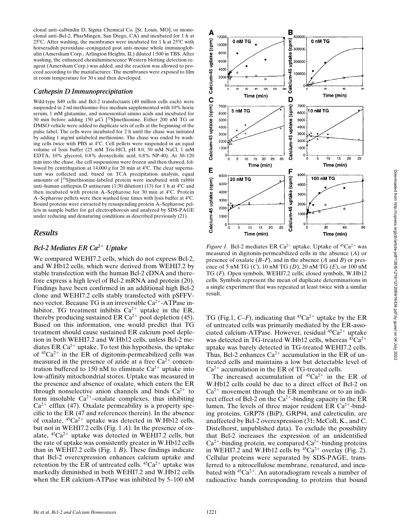clonal anti–calbindin D, Sigma Chemical Co. [St. Louis, MO]; or monoclonal anti–Bcl-2, PharMingen, San Diego, CA) and incubated for 1 h at 25 $^{\circ}$ C. After washing, the membranes were incubated for 1 h at 25 $^{\circ}$ C with horseradish peroxidase–conjugated goat anti–mouse whole immunoglobulin (Amersham Corp., Arlington Heights, IL) diluted 1:500 in TBS. After washing, the enhanced chemiluminescence Western blotting detection reagent (Amersham Corp.) was added, and the reaction was allowed to proceed according to the manufacturer. The membranes were exposed to film at room temperature for 30 s and then developed.

#### *Cathepsin D Immunoprecipitation*

Wild-type S49 cells and Bcl-2 transfectants (40 million cells each) were suspended in 2 ml methionine-free medium supplemented with 10% horse serum, 1 mM glutamine, and nonessential amino acids and incubated for 30 min before adding 150  $\mu$ Ci [<sup>35</sup>S]methionine. Either 200 nM TG or DMSO vehicle were added to duplicate sets of cells at the beginning of the pulse label. The cells were incubated for 2 h until the chase was initiated by adding 1 mg/ml unlabeled methionine. The chase was ended by washing cells twice with PBS at 4°C. Cell pellets were suspended in an equal volume of lysis buffer (25 mM Tris-HCl, pH 8.0, 50 mM NaCl, 1 mM EDTA, 10% glycerol, 0.8% deoxycholic acid, 0.8% NP-40). At 30–120 min into the chase, the cell suspensions were frozen and then thawed, followed by centrifugation at  $14,000$  g for 20 min at  $4^{\circ}$ C. The clear supernatant was collected and, based on TCA precipitation analysis, equal amounts of [35S]methionine-labeled protein were incubated with rabbit anti–human cathepsin D antiserum (1:30 dilution) (13) for 1 h at  $4^{\circ}$ C and then incubated with protein A–Sepharose for 30 min at 4°C. Protein A–Sepharose pellets were then washed four times with lysis buffer at  $4^{\circ}$ C. Bound proteins were extracted by resuspending protein A–Sepharose pellets in sample buffer for gel electrophoresis and analyzed by SDS-PAGE under reducing and denaturing conditions as described previously (21).

## *Results*

## *Bcl-2 Mediates ER Ca<sup>2+</sup> Uptake*

We compared WEHI7.2 cells, which do not express Bcl-2, and W.Hb12 cells, which were derived from WEHI7.2 by stable transfection with the human Bcl-2 cDNA and therefore express a high level of Bcl-2 mRNA and protein (20). Findings have been confirmed in an additional high Bcl-2 clone and WEHI7.2 cells stably transfected with pSFFVneo vector. Because TG is an irreversible  $Ca^{2+}$ -ATPase inhibitor, TG treatment inhibits  $Ca^{2+}$  uptake in the ER, thereby producing sustained ER Ca<sup>2+</sup> pool depletion (45). Based on this information, one would predict that TG treatment should cause sustained ER calcium pool depletion in both WEHI7.2 and W.Hb12 cells, unless Bcl-2 mediates ER  $Ca^{2+}$  uptake. To test this hypothesis, the uptake of  ${}^{45}Ca^{2+}$  in the ER of digitonin-permeabilized cells was measured in the presence of azide at a free  $Ca^{2+}$  concentration buffered to 150 nM to eliminate  $Ca^{2+}$  uptake into low-affinity mitochondrial stores. Uptake was measured in the presence and absence of oxalate, which enters the ER through nonselective anion channels and binds  $Ca^{2+}$  to form insoluble  $Ca^{2+}$ -oxalate complexes, thus inhibiting  $Ca^{2+}$  efflux (47). Oxalate permeability is a property specific to the ER (47 and references therein). In the absence of oxalate,  ${}^{45}Ca^{2+}$  uptake was detected in W.Hb12 cells, but not in WEHI7.2 cells (Fig. 1 *A*). In the presence of oxalate,  ${}^{45}Ca^{2+}$  uptake was detected in WEHI7.2 cells, but the rate of uptake was consistently greater in W.Hb12 cells than in WEHI7.2 cells (Fig. 1 *B*). These findings indicate that Bcl-2 overexpression enhances calcium uptake and retention by the ER of untreated cells.  $45Ca^{2+}$  uptake was markedly diminished in both WEHI7.2 and W.Hb12 cells when the ER calcium-ATPase was inhibited by 5–100 nM



*Figure 1.* Bcl-2 mediates ER Ca<sup>2+</sup> uptake. Uptake of  ${}^{45}Ca^{2+}$  was measured in digitonin-permeabilized cells in the absence (*A*) or presence of oxalate (*B–F*), and in the absence (*A* and *B*) or presence of 5 nM TG (*C*), 10 nM TG (*D*), 20 nM TG (*E*), or 100 nM TG (*F*). Open symbols, WEHI7.2 cells; closed symbols, W.Hb12 cells. Symbols represent the mean of duplicate determinations in a single experiment that was repeated at least twice with a similar result.

TG (Fig.1,  $C-F$ ), indicating that <sup>45</sup>Ca<sup>2+</sup> uptake by the ER of untreated cells was primarily mediated by the ER-associated calcium-ATPase. However, residual  ${}^{45}Ca^{2+}$  uptake was detected in TG-treated W.Hb12 cells, whereas  ${}^{45}Ca^{2+}$ uptake was barely detected in TG-treated WEHI7.2 cells. Thus, Bcl-2 enhances  $Ca^{2+}$  accumulation in the ER of untreated cells and maintains a low but detectable level of  $Ca^{2+}$  accumulation in the ER of TG-treated cells.

The increased accumulation of  ${}^{45}Ca^{2+}$  in the ER of W.Hb12 cells could be due to a direct effect of Bcl-2 on  $Ca^{2+}$  movement through the ER membrane or to an indirect effect of Bcl-2 on the  $Ca^{2+}$ -binding capacity in the ER lumen. The levels of three major resident ER  $Ca^{2+}$ -binding proteins, GRP78 (BiP), GRP94, and calreticulin, are unaffected by Bcl-2 overexpression (31; McColl, K., and C. Distelhorst, unpublished data). To exclude the possibility that Bcl-2 increases the expression of an unidentified  $Ca^{2+}$ -binding protein, we compared  $Ca^{2+}$ -binding proteins in WEHI7.2 and W.Hb12 cells by  ${}^{45}Ca^{2+}$  overlay (Fig. 2). Cellular proteins were separated by SDS-PAGE, transferred to a nitrocellulose membrane, renatured, and incubated with  ${}^{45}Ca^{2+}$ . An autoradiogram reveals a number of radioactive bands corresponding to proteins that bound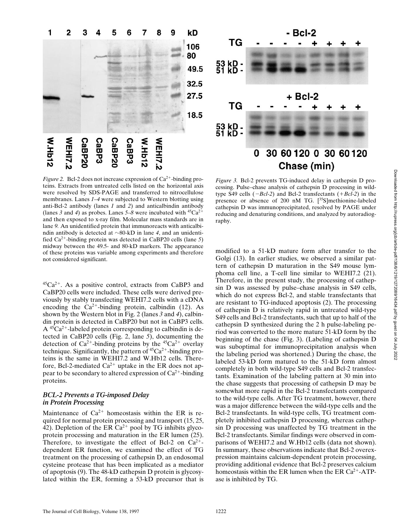



*Figure 2.* Bcl-2 does not increase expression of  $Ca^{2+}$ -binding proteins. Extracts from untreated cells listed on the horizontal axis were resolved by SDS-PAGE and transferred to nitrocellulose membranes. Lanes *1–4* were subjected to Western blotting using anti-Bcl-2 antibody (lanes *1* and *2*) and anticalbindin antibody (lanes 3 and 4) as probes. Lanes  $5-8$  were incubated with  $45Ca^{2+}$ and then exposed to x-ray film. Molecular mass standards are in lane *9.* An unidentified protein that immunoreacts with anticalbindin antibody is detected at  $\sim$ 80-kD in lane 4, and an unidentified  $Ca^{2+}$ -binding protein was detected in CaBP20 cells (lane 5) midway between the 49.5- and 80-kD markers. The appearance of these proteins was variable among experiments and therefore not considered significant.

 ${}^{45}Ca^{2+}$ . As a positive control, extracts from CaBP3 and CaBP20 cells were included. These cells were derived previously by stably transfecting WEHI7.2 cells with a cDNA encoding the  $Ca^{2+}$ -binding protein, calbindin (12). As shown by the Western blot in Fig. 2 (lanes *3* and *4*), calbindin protein is detected in CaBP20 but not in CaBP3 cells.  $A^{45}Ca^{2+}$ -labeled protein corresponding to calbindin is detected in CaBP20 cells (Fig. 2, lane *5*), documenting the detection of  $Ca^{2+}$ -binding proteins by the  ${}^{45}Ca^{2+}$  overlay technique. Significantly, the pattern of  ${}^{45}Ca^{2+}$ -binding proteins is the same in WEHI7.2 and W.Hb12 cells. Therefore, Bcl-2-mediated  $Ca^{2+}$  uptake in the ER does not appear to be secondary to altered expression of  $Ca^{2+}$ -binding proteins.

### *BCL-2 Prevents a TG-imposed Delay in Protein Processing*

Maintenance of  $Ca^{2+}$  homeostasis within the ER is required for normal protein processing and transport (15, 25, 42). Depletion of the ER  $Ca^{2+}$  pool by TG inhibits glycoprotein processing and maturation in the ER lumen (25). Therefore, to investigate the effect of Bcl-2 on  $Ca^{2+}$ dependent ER function, we examined the effect of TG treatment on the processing of cathepsin D, an endosomal cysteine protease that has been implicated as a mediator of apoptosis (9). The 48-kD cathepsin D protein is glycosylated within the ER, forming a 53-kD precursor that is

*Figure 3.* Bcl-2 prevents TG-induced delay in cathepsin D processing. Pulse–chase analysis of cathepsin D processing in wildtype S49 cells  $(-Bcl-2)$  and Bcl-2 transfectants  $(+Bcl-2)$  in the presence or absence of 200 nM TG. [<sup>35</sup>S]methionine-labeled cathepsin D was immunoprecipitated, resolved by PAGE under reducing and denaturing conditions, and analyzed by autoradiography.

modified to a 51-kD mature form after transfer to the Golgi (13). In earlier studies, we observed a similar pattern of cathepsin D maturation in the S49 mouse lymphoma cell line, a T-cell line similar to WEHI7.2 (21). Therefore, in the present study, the processing of cathepsin D was assessed by pulse–chase analysis in S49 cells, which do not express Bcl-2, and stable transfectants that are resistant to TG-induced apoptosis (2). The processing of cathepsin D is relatively rapid in untreated wild-type S49 cells and Bcl-2 transfectants, such that up to half of the cathepsin D synthesized during the 2 h pulse-labeling period was converted to the more mature 51-kD form by the beginning of the chase (Fig. 3). (Labeling of cathepsin D was suboptimal for immunoprecipitation analysis when the labeling period was shortened.) During the chase, the labeled 53-kD form matured to the 51-kD form almost completely in both wild-type S49 cells and Bcl-2 transfectants. Examination of the labeling pattern at 30 min into the chase suggests that processing of cathepsin D may be somewhat more rapid in the Bcl-2 transfectants compared to the wild-type cells. After TG treatment, however, there was a major difference between the wild-type cells and the Bcl-2 transfectants. In wild-type cells, TG treatment completely inhibited cathepsin D processing, whereas cathepsin D processing was unaffected by TG treatment in the Bcl-2 transfectants. Similar findings were observed in comparisons of WEHI7.2 and W.Hb12 cells (data not shown). In summary, these observations indicate that Bcl-2 overexpression maintains calcium-dependent protein processing, providing additional evidence that Bcl-2 preserves calcium homeostasis within the ER lumen when the ER  $Ca^{2+}-ATP$ ase is inhibited by TG.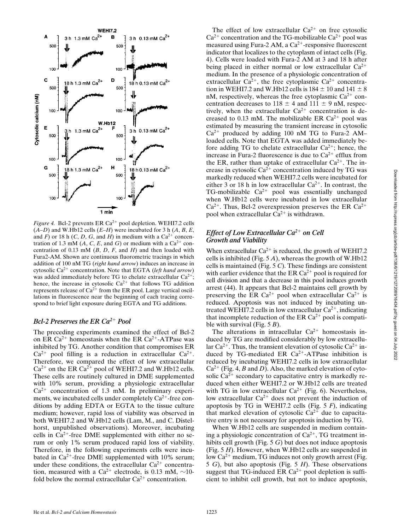

*Figure 4.* Bcl-2 prevents ER  $Ca^{2+}$  pool depletion. WEHI7.2 cells  $(A-D)$  and W.Hb12 cells  $(E-H)$  were incubated for 3 h  $(A, B, E, E)$ and *F*) or 18 h (*C*, *D*, *G*, and *H*) in medium with a  $Ca^{2+}$  concentration of 1.3 mM (A, C, E, and G) or medium with a  $Ca^{2+}$  concentration of 0.13 mM (*B*, *D*, *F*, and *H*) and then loaded with Fura2-AM. Shown are continuous fluorometric tracings in which addition of 100 nM TG (*right hand arrow*) induces an increase in cytosolic Ca<sup>2+</sup> concentration. Note that EGTA (*left hand arrow*) was added immediately before TG to chelate extracellular  $Ca^{2+}$ ; hence, the increase in cytosolic  $Ca^{2+}$  that follows TG addition represents release of  $Ca^{2+}$  from the ER pool. Large vertical oscillations in fluorescence near the beginning of each tracing correspond to brief light exposure during EGTA and TG additions.

## *Bcl-2 Preserves the ER Ca<sup>2+</sup> Pool*

The preceding experiments examined the effect of Bcl-2 on ER Ca<sup>2+</sup> homeostasis when the ER Ca<sup>2+</sup>-ATPase was inhibited by TG. Another condition that compromises ER  $Ca^{2+}$  pool filling is a reduction in extracellular  $Ca^{2+}$ . Therefore, we compared the effect of low extracellular  $Ca^{2+}$  on the ER  $Ca^{2+}$  pool of WEHI7.2 and W.Hb12 cells. These cells are routinely cultured in DME supplemented with 10% serum, providing a physiologic extracellular  $Ca^{2+}$  concentration of 1.3 mM. In preliminary experiments, we incubated cells under completely  $Ca^{2+}$ -free conditions by adding EDTA or EGTA to the tissue culture medium; however, rapid loss of viability was observed in both WEHI7.2 and W.Hb12 cells (Lam, M., and C. Distelhorst, unpublished observations). Moreover, incubating cells in  $Ca^{2+}$ -free DME supplemented with either no serum or only 1% serum produced rapid loss of viability. Therefore, in the following experiments cells were incubated in  $Ca^{2+}$ -free DME supplemented with 10% serum; under these conditions, the extracellular  $Ca^{2+}$  concentration, measured with a Ca<sup>2+</sup> electrode, is 0.13 mM,  $\sim$ 10fold below the normal extracellular  $Ca^{2+}$  concentration.

The effect of low extracellular  $Ca^{2+}$  on free cytosolic  $Ca^{2+}$  concentration and the TG-mobilizable  $Ca^{2+}$  pool was measured using Fura-2 AM, a  $Ca^{2+}$ -responsive fluorescent indicator that localizes to the cytoplasm of intact cells (Fig. 4). Cells were loaded with Fura-2 AM at 3 and 18 h after being placed in either normal or low extracellular  $Ca^{2+}$ medium. In the presence of a physiologic concentration of extracellular  $Ca^{2+}$ , the free cytoplasmic  $Ca^{2+}$  concentration in WEHI7.2 and W.Hb12 cells is  $184 \pm 10$  and  $141 \pm 8$ nM, respectively, whereas the free cytoplasmic  $Ca^{2+}$  concentration decreases to  $118 \pm 4$  and  $111 \pm 9$  nM, respectively, when the extracellular  $Ca^{2+}$  concentration is decreased to 0.13 mM. The mobilizable ER  $Ca^{2+}$  pool was estimated by measuring the transient increase in cytosolic  $Ca^{2+}$  produced by adding 100 nM TG to Fura-2 AM– loaded cells. Note that EGTA was added immediately before adding TG to chelate extracellular  $Ca^{2+}$ ; hence, the increase in Fura-2 fluorescence is due to  $Ca^{2+}$  efflux from the ER, rather than uptake of extracellular  $Ca^{2+}$ . The increase in cytosolic  $Ca^{2+}$  concentration induced by TG was markedly reduced when WEHI7.2 cells were incubated for either 3 or 18 h in low extracellular  $Ca^{2+}$ . In contrast, the TG-mobilizable  $Ca^{2+}$  pool was essentially unchanged when W.Hb12 cells were incubated in low extracellular  $Ca^{2+}$ . Thus, Bcl-2 overexpression preserves the ER  $Ca^{2+}$ pool when extracellular  $Ca^{2+}$  is withdrawn.

## *Effect of Low Extracellular Ca*<sup>2+</sup> on Cell *Growth and Viability*

When extracellular  $Ca^{2+}$  is reduced, the growth of WEHI7.2 cells is inhibited (Fig. 5 *A*), whereas the growth of W.Hb12 cells is maintained (Fig. 5 *C*). These findings are consistent with earlier evidence that the ER  $Ca^{2+}$  pool is required for cell division and that a decrease in this pool induces growth arrest (44). It appears that Bcl-2 maintains cell growth by preserving the ER Ca<sup>2+</sup> pool when extracellular Ca<sup>2+</sup> is reduced. Apoptosis was not induced by incubating untreated WEHI7.2 cells in low extracellular  $Ca^{2+}$ , indicating that incomplete reduction of the ER  $Ca^{2+}$  pool is compatible with survival (Fig. 5 *B*).

The alterations in intracellular  $Ca^{2+}$  homeostasis induced by TG are modified considerably by low extracellular  $Ca^{2+}$ . Thus, the transient elevation of cytosolic  $Ca^{2+}$  induced by TG-mediated ER  $Ca^{2+}-ATP$ ase inhibition is reduced by incubating WEHI7.2 cells in low extracellular  $Ca^{2+}$  (Fig. 4, *B* and *D*). Also, the marked elevation of cytosolic  $Ca^{2+}$  secondary to capacitative entry is markedly reduced when either WEHI7.2 or W.Hb12 cells are treated with TG in low extracellular  $Ca^{2+}$  (Fig. 6). Nevertheless, low extracellular  $Ca^{2+}$  does not prevent the induction of apoptosis by TG in WEHI7.2 cells (Fig. 5 *F*), indicating that marked elevation of cytosolic  $Ca^{2+}$  due to capacitative entry is not necessary for apoptosis induction by TG.

When W.Hb12 cells are suspended in medium containing a physiologic concentration of  $Ca^{2+}$ , TG treatment inhibits cell growth (Fig. 5 *G*) but does not induce apoptosis (Fig. 5 *H*). However, when W.Hb12 cells are suspended in low  $Ca^{2+}$  medium, TG induces not only growth arrest (Fig. 5 *G*), but also apoptosis (Fig. 5 *H*). These observations suggest that TG-induced ER  $Ca^{2+}$  pool depletion is sufficient to inhibit cell growth, but not to induce apoptosis,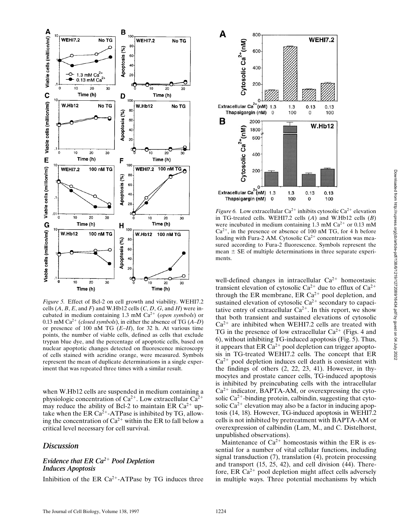

*Figure 5.* Effect of Bcl-2 on cell growth and viability. WEHI7.2 cells  $(A, B, E, \text{ and } F)$  and W.Hb12 cells  $(C, D, G, \text{ and } H)$  were incubated in medium containing 1.3 mM Ca<sup>2+</sup> (*open symbols*) or 0.13 mM Ca<sup>2+</sup> (*closed symbols*), in either the absence of TG  $(A-D)$ or presence of 100 nM TG (*E–H*), for 32 h. At various time points, the number of viable cells, defined as cells that exclude trypan blue dye, and the percentage of apoptotic cells, based on nuclear apoptotic changes detected on fluorescence microscopy of cells stained with acridine orange, were measured. Symbols represent the mean of duplicate determinations in a single experiment that was repeated three times with a similar result.

when W.Hb12 cells are suspended in medium containing a physiologic concentration of  $Ca^{2+}$ . Low extracellular  $Ca^{2+}$ may reduce the ability of Bcl-2 to maintain ER  $Ca^{2+}$  uptake when the ER  $Ca^{2+}-ATP$ ase is inhibited by TG, allowing the concentration of  $Ca^{2+}$  within the ER to fall below a critical level necessary for cell survival.

## *Discussion*

## *Evidence that ER Ca*<sup>2+</sup> *Pool Depletion Induces Apoptosis*

Inhibition of the ER  $Ca^{2+}-ATP$ ase by TG induces three



*Figure 6.* Low extracellular  $Ca^{2+}$  inhibits cytosolic  $Ca^{2+}$  elevation in TG-treated cells. WEHI7.2 cells (*A*) and W.Hb12 cells (*B*) were incubated in medium containing 1.3 mM  $Ca^{2+}$  or 0.13 mM  $Ca^{2+}$ , in the presence or absence of 100 nM TG, for 4 h before loading with Fura-2 AM. Cytosolic  $Ca^{2+}$  concentration was measured according to Fura-2 fluorescence. Symbols represent the mean  $\pm$  SE of multiple determinations in three separate experiments.

well-defined changes in intracellular  $Ca^{2+}$  homeostasis: transient elevation of cytosolic  $Ca^{2+}$  due to efflux of  $Ca^{2+}$ through the ER membrane, ER  $Ca^{2+}$  pool depletion, and sustained elevation of cytosolic  $Ca^{2+}$  secondary to capacitative entry of extracellular  $Ca^{2+}$ . In this report, we show that both transient and sustained elevations of cytosolic  $Ca^{2+}$  are inhibited when WEHI7.2 cells are treated with TG in the presence of low extracellular  $Ca^{2+}$  (Figs. 4 and 6), without inhibiting TG-induced apoptosis (Fig. 5). Thus, it appears that ER  $Ca^{2+}$  pool depletion can trigger apoptosis in TG-treated WEHI7.2 cells. The concept that ER  $Ca<sup>2+</sup>$  pool depletion induces cell death is consistent with the findings of others (2, 22, 23, 41). However, in thymocytes and prostate cancer cells, TG-induced apoptosis is inhibited by preincubating cells with the intracellular  $Ca^{2+}$  indicator, BAPTA-AM, or overexpressing the cytosolic  $Ca^{2+}$ -binding protein, calbindin, suggesting that cytosolic  $Ca^{2+}$  elevation may also be a factor in inducing apoptosis (14, 18). However, TG-induced apoptosis in WEHI7.2 cells is not inhibited by pretreatment with BAPTA-AM or overexpression of calbindin (Lam, M., and C. Distelhorst, unpublished observations).

Maintenance of  $Ca^{2+}$  homeostasis within the ER is essential for a number of vital cellular functions, including signal transduction (7), translation (4), protein processing and transport (15, 25, 42), and cell division (44). Therefore, ER  $Ca^{2+}$  pool depletion might affect cells adversely in multiple ways. Three potential mechanisms by which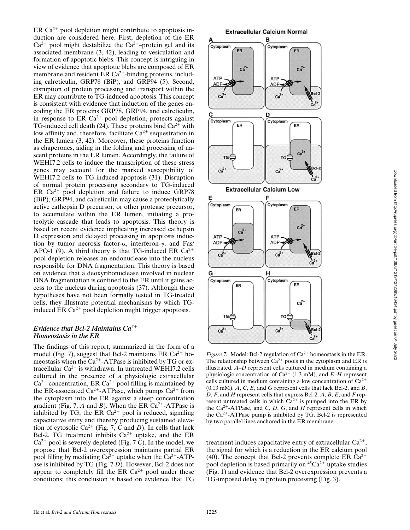ER  $Ca^{2+}$  pool depletion might contribute to apoptosis induction are considered here. First, depletion of the ER  $Ca^{2+}$  pool might destabilize the  $Ca^{2+}$ -protein gel and its associated membrane (3, 42), leading to vesiculation and formation of apoptotic blebs. This concept is intriguing in view of evidence that apoptotic blebs are composed of ER membrane and resident ER  $Ca^{2+}$ -binding proteins, including calreticulin, GRP78 (BiP), and GRP94 (5). Second, disruption of protein processing and transport within the ER may contribute to TG-induced apoptosis. This concept is consistent with evidence that induction of the genes encoding the ER proteins GRP78, GRP94, and calreticulin, in response to ER  $Ca^{2+}$  pool depletion, protects against TG-induced cell death (24). These proteins bind  $Ca^{2+}$  with low affinity and, therefore, facilitate  $Ca^{2+}$  sequestration in the ER lumen (3, 42). Moreover, these proteins function as chaperones, aiding in the folding and processing of nascent proteins in the ER lumen. Accordingly, the failure of WEHI7.2 cells to induce the transcription of these stress genes may account for the marked susceptibility of WEHI7.2 cells to TG-induced apoptosis (31). Disruption of normal protein processing secondary to TG-induced ER  $Ca^{2+}$  pool depletion and failure to induce GRP78 (BiP), GRP94, and calreticulin may cause a proteolytically active cathepsin D precursor, or other protease precursor, to accumulate within the ER lumen, initiating a proteolytic cascade that leads to apoptosis. This theory is based on recent evidence implicating increased cathepsin D expression and delayed processing in apoptosis induction by tumor necrosis factor- $\alpha$ , interferon- $\gamma$ , and Fas/ APO-1 (9). A third theory is that TG-induced ER  $Ca^{2+}$ pool depletion releases an endonuclease into the nucleus responsible for DNA fragmentation. This theory is based on evidence that a deoxyribonuclease involved in nuclear DNA fragmentation is confined to the ER until it gains access to the nucleus during apoptosis (37). Although these hypotheses have not been formally tested in TG-treated cells, they illustrate potential mechanisms by which TGinduced ER  $Ca^{2+}$  pool depletion might trigger apoptosis.

## *Evidence that Bcl-2 Maintains Ca*<sup>2+</sup> *Homeostasis in the ER*

The findings of this report, summarized in the form of a model (Fig. 7), suggest that Bcl-2 maintains ER  $Ca^{2+}$  homeostasis when the  $Ca^{2+}$ -ATPase is inhibited by TG or extracellular  $Ca^{2+}$  is withdrawn. In untreated WEHI7.2 cells cultured in the presence of a physiologic extracellular  $Ca^{2+}$  concentration, ER  $Ca^{2+}$  pool filling is maintained by the ER-associated Ca<sup>2+</sup>-ATPase, which pumps Ca<sup>2+</sup> from the cytoplasm into the ER against a steep concentration gradient (Fig. 7, A and B). When the ER  $Ca^{2+}$ -ATPase is inhibited by TG, the ER  $Ca^{2+}$  pool is reduced, signaling capacitative entry and thereby producing sustained elevation of cytosolic Ca<sup>2+</sup> (Fig. 7, C and D). In cells that lack Bcl-2, TG treatment inhibits  $Ca^{2+}$  uptake, and the ER  $Ca^{2+}$  pool is severely depleted (Fig. 7 *C*). In the model, we propose that Bcl-2 overexpression maintains partial ER pool filling by mediating  $Ca^{2+}$  uptake when the  $Ca^{2+}-ATP$ ase is inhibited by TG (Fig. 7 *D*). However, Bcl-2 does not appear to completely fill the ER  $Ca^{2+}$  pool under these conditions; this conclusion is based on evidence that TG



*Figure 7.* Model: Bcl-2 regulation of  $Ca^{2+}$  homeostasis in the ER. The relationship between  $Ca^{2+}$  pools in the cytoplasm and ER is illustrated. *A–D* represent cells cultured in medium containing a physiologic concentration of Ca<sup>2+</sup> (1.3 mM), and *E–H* represent cells cultured in medium containing a low concentration of  $Ca^{2+}$ (0.13 mM). *A*, *C*, *E*, and *G* represent cells that lack Bcl-2, and *B*, *D*, *F*, and *H* represent cells that express Bcl-2. *A*, *B*, *E*, and *F* represent untreated cells in which  $Ca^{2+}$  is pumped into the ER by the  $Ca^{2+}$ -ATPase, and *C*, *D*, *G*, and *H* represent cells in which the  $Ca^{2+}$ -ATPase pump is inhibited by TG. Bcl-2 is represented by two parallel lines anchored in the ER membrane.

TG

 $Ca<sup>2+</sup>$ 

treatment induces capacitative entry of extracellular  $Ca^{2+}$ , the signal for which is a reduction in the ER calcium pool (40). The concept that Bcl-2 prevents complete ER  $Ca^{2+}$ pool depletion is based primarily on  ${}^{45}Ca^{2+}$  uptake studies (Fig. 1) and evidence that Bcl-2 overexpression prevents a TG-imposed delay in protein processing (Fig. 3).

TG

 $Ca<sup>2+</sup>$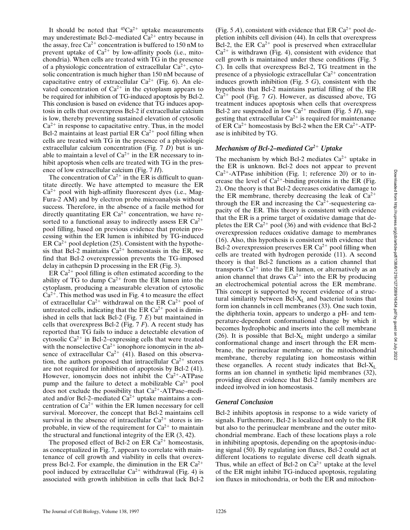It should be noted that  ${}^{45}Ca^{2+}$  uptake measurements may underestimate Bcl-2–mediated  $Ca^{2+}$  entry because in the assay, free  $Ca^{2+}$  concentration is buffered to 150 nM to prevent uptake of  $Ca^{2+}$  by low-affinity pools (i.e., mitochondria). When cells are treated with TG in the presence of a physiologic concentration of extracellular  $Ca^{2+}$ , cytosolic concentration is much higher than 150 nM because of capacitative entry of extracellular  $Ca^{2+}$  (Fig. 6). An elevated concentration of  $Ca^{2+}$  in the cytoplasm appears to be required for inhibition of TG-induced apoptosis by Bcl-2. This conclusion is based on evidence that TG induces apoptosis in cells that overexpress Bcl-2 if extracellular calcium is low, thereby preventing sustained elevation of cytosolic  $Ca<sup>2+</sup>$  in response to capacitative entry. Thus, in the model Bcl-2 maintains at least partial ER  $Ca^{2+}$  pool filling when cells are treated with TG in the presence of a physiologic extracellular calcium concentration (Fig. 7 *D*) but is unable to maintain a level of  $Ca^{2+}$  in the ER necessary to inhibit apoptosis when cells are treated with TG in the presence of low extracellular calcium (Fig. 7 *H*).

The concentration of  $Ca^{2+}$  in the ER is difficult to quantitate directly. We have attempted to measure the ER  $Ca^{2+}$  pool with high-affinity fluorescent dyes (i.e., Mag-Fura-2 AM) and by electron probe microanalysis without success. Therefore, in the absence of a facile method for directly quantitating ER  $Ca^{2+}$  concentration, we have resorted to a functional assay to indirectly assess ER  $Ca^{2+}$ pool filling, based on previous evidence that protein processing within the ER lumen is inhibited by TG-induced ER Ca<sup>2+</sup> pool depletion (25). Consistent with the hypothesis that Bcl-2 maintains  $Ca^{2+}$  homeostasis in the ER, we find that Bcl-2 overexpression prevents the TG-imposed delay in cathepsin D processing in the ER (Fig. 3).

ER  $Ca^{2+}$  pool filling is often estimated according to the ability of TG to dump  $Ca^{2+}$  from the ER lumen into the cytoplasm, producing a measurable elevation of cytosolic  $Ca<sup>2+</sup>$ . This method was used in Fig. 4 to measure the effect of extracellular  $Ca^{2+}$  withdrawal on the ER  $Ca^{2+}$  pool of untreated cells, indicating that the ER  $Ca^{2+}$  pool is diminished in cells that lack Bcl-2 (Fig. 7 *E*) but maintained in cells that overexpress Bcl-2 (Fig. 7 *F*). A recent study has reported that TG fails to induce a detectable elevation of cytosolic  $Ca^{2+}$  in Bcl-2–expressing cells that were treated with the nonselective  $Ca^{2+}$  ionophore ionomycin in the absence of extracellular  $Ca^{2+}$  (41). Based on this observation, the authors proposed that intracellular  $Ca^{2+}$  stores are not required for inhibition of apoptosis by Bcl-2 (41). However, ionomycin does not inhibit the  $Ca^{2+}-ATP$ ase pump and the failure to detect a mobilizable  $Ca^{2+}$  pool does not exclude the possibility that  $Ca^{2+}-ATP$ ase–mediated and/or Bcl-2–mediated  $Ca^{2+}$  uptake maintains a concentration of  $Ca^{2+}$  within the ER lumen necessary for cell survival. Moreover, the concept that Bcl-2 maintains cell survival in the absence of intracellular  $Ca^{2+}$  stores is improbable, in view of the requirement for  $Ca^{2+}$  to maintain the structural and functional integrity of the ER (3, 42).

The proposed effect of Bcl-2 on ER  $Ca^{2+}$  homeostasis, as conceptualized in Fig. 7, appears to correlate with maintenance of cell growth and viability in cells that overexpress Bcl-2. For example, the diminution in the ER  $Ca^{2+}$ pool induced by extracellular  $Ca^{2+}$  withdrawal (Fig. 4) is associated with growth inhibition in cells that lack Bcl-2

(Fig. 5 *A*), consistent with evidence that ER  $Ca^{2+}$  pool depletion inhibits cell division (44). In cells that overexpress Bcl-2, the ER  $Ca^{2+}$  pool is preserved when extracellular  $Ca^{2+}$  is withdrawn (Fig. 4), consistent with evidence that cell growth is maintained under these conditions (Fig. 5 *C*). In cells that overexpress Bcl-2, TG treatment in the presence of a physiologic extracellular  $Ca^{2+}$  concentration induces growth inhibition (Fig. 5 *G*), consistent with the hypothesis that Bcl-2 maintains partial filling of the ER  $Ca^{2+}$  pool (Fig. 7 *G*). However, as discussed above, TG treatment induces apoptosis when cells that overexpress Bcl-2 are suspended in low  $Ca^{2+}$  medium (Fig. 5 *H*), suggesting that extracellular  $Ca^{2+}$  is required for maintenance of ER Ca<sup>2+</sup> homeostasis by Bcl-2 when the ER Ca<sup>2+</sup>-ATPase is inhibited by TG.

## *Mechanism of Bcl-2–mediated Ca<sup>2+</sup> Uptake*

The mechanism by which Bcl-2 mediates  $Ca^{2+}$  uptake in the ER is unknown. Bcl-2 does not appear to prevent  $Ca^{2+}-ATP$ ase inhibition (Fig. 1; reference 20) or to increase the level of  $Ca^{2+}$ -binding proteins in the ER (Fig. 2). One theory is that Bcl-2 decreases oxidative damage to the ER membrane, thereby decreasing the leak of  $Ca^{2+}$ through the ER and increasing the  $Ca^{2+}$ -sequestering capacity of the ER. This theory is consistent with evidence that the ER is a prime target of oxidative damage that depletes the ER Ca<sup>2+</sup> pool (36) and with evidence that Bcl-2 overexpression reduces oxidative damage to membranes (16). Also, this hypothesis is consistent with evidence that Bcl-2 overexpression preserves ER  $Ca^{2+}$  pool filling when cells are treated with hydrogen peroxide (11). A second theory is that Bcl-2 functions as a cation channel that transports  $Ca^{2+}$  into the ER lumen, or alternatively as an anion channel that draws  $Ca^{2+}$  into the ER by producing an electrochemical potential across the ER membrane. This concept is supported by recent evidence of a structural similarity between  $Bcl-X_L$  and bacterial toxins that form ion channels in cell membranes (33). One such toxin, the diphtheria toxin, appears to undergo a pH- and temperature-dependent conformational change by which it becomes hydrophobic and inserts into the cell membrane (26). It is possible that Bcl- $X_L$  might undergo a similar conformational change and insert through the ER membrane, the perinuclear membrane, or the mitochondrial membrane, thereby regulating ion homeostasis within these organelles. A recent study indicates that  $Bcl-X<sub>I</sub>$ forms an ion channel in synthetic lipid membranes (32), providing direct evidence that Bcl-2 family members are indeed involved in ion homeostasis.

### *General Conclusion*

Bcl-2 inhibits apoptosis in response to a wide variety of signals. Furthermore, Bcl-2 is localized not only to the ER but also to the perinuclear membrane and the outer mitochondrial membrane. Each of these locations plays a role in inhibiting apoptosis, depending on the apoptosis-inducing signal (50). By regulating ion fluxes, Bcl-2 could act at different locations to regulate diverse cell death signals. Thus, while an effect of Bcl-2 on  $Ca^{2+}$  uptake at the level of the ER might inhibit TG-induced apoptosis, regulating ion fluxes in mitochondria, or both the ER and mitochon-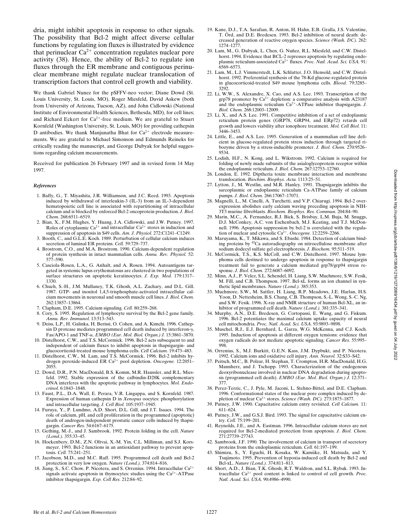dria, might inhibit apoptosis in response to other signals. The possibility that Bcl-2 might affect diverse cellular functions by regulating ion fluxes is illustrated by evidence that perinuclear  $Ca^{2+}$  concentration regulates nuclear pore activity (38). Hence, the ability of Bcl-2 to regulate ion fluxes through the ER membrane and contiguous perinuclear membrane might regulate nuclear translocation of transcription factors that control cell growth and viability.

We thank Gabriel Nunez for the pSFFV-neo vector; Diane Dowd (St. Louis University, St. Louis, MO), Roger Miesfeld, David Askew (both from University of Arizona, Tucson, AZ), and John Cidlowski (National Institute of Environmental Health Sciences, Bethesda, MD), for cell lines; and Richard Eckert for  $Ca^{2+}$ -free medium. We are grateful to Stuart Kornfeld (Washington University, St. Louis, MO) for providing cathepsin D antibodies. We thank Manjunatha Bhat for  $Ca^{2+}$  electrode measurements. We are grateful to Michael Simonson and Edmunds Reineks for critically reading the manuscript, and George Dubyak for helpful suggestions regarding calcium measurements.

Received for publication 26 February 1997 and in revised form 14 May 1997.

#### *References*

- 1. Baffy, G., T. Miyashita, J.R. Williamson, and J.C. Reed. 1993. Apoptosis induced by withdrawal of interleukin-3 (IL-3) from an IL-3-dependent hematopoietic cell line is associated with repartitioning of intracellular calcium and is blocked by enforced Bcl-2 oncoprotein production. *J. Biol. Chem.* 268:6511–6519.
- 2. Bian, X., F.M. Hughes, Y. Huang, J.A. Cidlowski, and J.W. Putney. 1997. Roles of cytoplasmic  $Ca^{2+}$  and intracellular  $Ca^{2+}$  stores in induction and suppression of apoptosis in S49 cells. *Am. J. Physiol.* 272:C1241–C1249.
- 3. Booth, C., and G.L.E. Koch. 1989. Perturbation of cellular calcium induces secretion of luminal ER proteins. *Cell.* 59:729–737.
- 4. Brostrom, C.O., and M.A. Brostrom. 1990. Calcium-dependent regulation of protein synthesis in intact mammalian cells. *Annu. Rev. Physiol.* 52: 577–590.
- 5. Casciola-Rosen, L.A., G. Anhalt, and A. Rosen. 1994. Autoantigens targeted in systemic lupus erythematosus are clustered in two populations of surface structures on apoptotic keratinocytes. *J. Exp. Med.* 179:1317– 1330.
- 6. Chueh, S.-H., J.M. Mullaney, T.K. Ghosh, A.L. Zachary, and D.L. Gill. 1987. GTP- and inositol 1,4,5-trisphosphate-activated intracellular calcium movements in neuronal and smooth muscle cell lines. *J. Biol. Chem.* 262:13857–13864.
- 7. Clapham, D.E. 1995. Calcium signaling. *Cell.* 80:259–268.
- 8. Cory, S. 1995. Regulation of lymphocyte survival by the Bcl-2 gene family. *Annu. Rev. Immunol.* 13:513–543.
- 9. Deiss, L.P., H. Galinka, H. Berissi, O. Cohen, and A. Kimchi. 1996. Cathepsin D protease mediates programmed cell death induced by interferon- $\gamma$ , Fas/APO-1 and TNF-a. *EMBO (Eur. Mol. Biol. Organ.) J.* 15:3861–3870.
- 10. Distelhorst, C.W., and T.S. McCormick. 1996. Bcl-2 acts subsequent to and independent of calcium fluxes to inhibit apoptosis in thapsigargin- and glucocorticoid-treated mouse lymphoma cells. *Cell Calcium.* 19:473–483.
- 11. Distelhorst, C.W., M. Lam, and T.S. McCormick. 1996. Bcl-2 inhibits hydrogen peroxide-induced ER Ca<sup>2+</sup> pool depletion. Oncogene. 12:2051-2055.
- 12. Dowd, D.R., P.N. MacDonald, B.S. Komm, M.R. Haussler, and R.L. Miesfeld. 1992. Stable expression of the calbindin-D28K complementary DNA interferes with the apoptotic pathway in lymphocytes. *Mol. Endocrinol.* 6:1843–1848.
- 13. Faust, P.L., D.A. Wall, E. Perara, V.R. Lingappa, and S. Kornfeld. 1987. Expression of human cathepsin D in *Xenopus* oocytes: phosphorylation and intracellular targeting. *J. Cell Biol.* 105:1937–1945.
- 14. Furuya, Y., P. Lundmo, A.D. Short, D.L. Gill, and J.T. Isaacs. 1994. The role of calcium, pH, and cell proliferation in the programmed (apoptotic) death of androgen-independent prostatic cancer cells induced by thapsigargin. *Cancer Res.* 54:6167–6175.
- 15. Gething, M.-J., and J. Sambrook. 1992. Protein folding in the cell. *Nature (Lond.).* 355:33–45.
- 16. Hockenbery, D.M., Z.N. Oltvai, X.-M. Yin, C.L. Milliman, and S.J. Korsmeyer. 1993. Bcl-2 functions in an antioxidant pathway to prevent apoptosis. *Cell.* 75:241–251.
- 17. Jacobson, M.D., and M.C. Raff. 1995. Programmed cell death and Bcl-2 protection in very low oxygen. *Nature (Lond.).* 374:814–816.
- 18. Jiang, S., S.C. Chow, P. Nicotera, and S. Orrenius. 1994. Intracellular Ca<sup>2+</sup> signals activate apoptosis in thymocytes: studies using the  $Ca^{2+}-ATP$ ase inhibitor thapsigargin. *Exp. Cell Res.* 212:84–92.
- 19. Kane, D.J., T.A. Sarafian, R. Anton, H. Hahn, E.B. Gralla, J.S. Valentine, T. Örd, and D.E. Bredesen. 1993. Bcl-2 inhibition of neural death: decreased generation of reactive oxygen species. *Science (Wash. DC).* 262: 1274–1277.
- 20. Lam, M., G. Dubyak, L. Chen, G. Nuñez, R.L. Miesfeld, and C.W. Distelhorst. 1994. Evidence that BCL-2 represses apoptosis by regulating endo-<br>plasmic reticulum-associated Ca<sup>2+</sup> fluxes. *Proc. Natl. Acad. Sci. USA*. 91: 6569–6573.
- 21. Lam, M., L.J. Vimmerstedt, L.K. Schlatter, J.O. Hensold, and C.W. Distelhorst. 1992. Preferential synthesis of the 78-Kd glucose-regulated protein in glucocorticoid-treated S49 mouse lymphoma cells. *Blood.* 79:3285– 3292.
- 22. Li, W.W., S. Alexandre, X. Cao, and A.S. Lee. 1993. Transcription of the grp78 promoter by  $Ca^{2+}$  depletion: a comparative analysis with A23187 and the endoplasmic reticulum  $Ca^{2+}$ -ATPase inhibitor thapsigargin. *J*. *Biol. Chem.* 268:12003–12009.
- 23. Li, X., and A.S. Lee. 1991. Competitive inhibition of a set of endoplasmic reticulum protein genes (GRP78, GRP94, and ERp72) retards cell growth and lowers viability after ionophore treatment. *Mol. Cell Biol.* 11: 3446–3453.
- 24. Little, E., and A.S. Lee. 1995. Generation of a mammalian cell line deficient in glucose-regulated protein stress induction through targeted ribozyme driven by a stress-inducible promoter. *J. Biol. Chem.* 270:9526– 9534.
- 25. Lodish, H.F., N. Kong, and L. Wikstrom. 1992. Calcium is required for folding of newly made subunits of the asialoglycoprotein receptor within the endoplasmic reticulum. *J. Biol. Chem.* 267:12753–12760.
- 26. London, E. 1992. Diptheria toxin: membrane interaction and membrane translocation. *Biochim. Biophys. Acta.* 1113:25–51.
- 27. Lytton, J., M. Westlin, and M.R. Hanley. 1991. Thapsigargin inhibits the sarcoplasmic or endoplasmic reticulum Ca-ATPase family of calcium pumps. *J. Biol. Chem.* 266:17067–17071.
- 28. Magnelli, L., M. Cinelli, A. Turchetti, and V.P. Chiarugi. 1994. Bcl-2 overexpression abolishes early calcium waving preceding apoptosis in NIH-3T3 murine fibroblasts. *Biochem. Biophys. Res. Commun.* 204:84–90.
- 29. Marin, M.C., A. Fernandez, R.J. Bick, S. Brisbay, L.M. Buja, M. Snuggs, D.J. McConkey, A.C. von Eschenbach, M.J. Keating, and T.J. McDonnell. 1996. Apoptosis suppression by bcl-2 is correlated with the regulation of nuclear and cytosolic Ca<sup>2+</sup>. *Oncogene*. 12:2259–2266.
- 30. Maruyama, K., T. Mikawa, and S. Ebashi. 1984. Detection of calcium binding proteins by 45Ca autoradiography on nitrocellulose membrane after sodium dodecyl sulfate gel electrophoresis. *J. Biochem.* 95:511–519.
- 31. McCormick, T.S., K.S. McColl, and C.W. Distelhorst. 1997. Mouse lymphoma cells destined to undergo apoptosis in response to thapsigargin treatment fail to generate a calcium mediated grp78/grp94 stress response. *J. Biol. Chem.* 272:6087–6092.
- 32. Minn, A.J., P. Velez, S.L. Schendel, H. Liang, S.W. Muchmore, S.W. Fesik, M. Fill, and C.B. Thompson. 1997. Bcl-xL forms an ion channel in synthetic lipid membranes. *Nature (Lond.).* 385:353.
- 33. Muchmore, S.W., M. Sattler, H. Liang, R.P. Meadows, J.E. Harlan, H.S. Yoon, D. Nettesheim, B.S. Chang, C.B. Thompson, S.-L. Wong, S.-C. Ng, and S.W. Fesik. 1996. X-ray and NMR structure of human Bcl-XL, an inhibitor of programmed cell death. *Nature (Lond.).* 381:335–341.
- 34. Murphy, A.N., D.E. Bredesen, G. Cortopassi, E. Wang, and G. Fiskum. 1996. Bcl-2 potentiates the maximal calcium uptake capacity of neural cell mitochondria. *Proc. Natl. Acad. Sci. USA.* 93:9893–9898.
- 35. Muschel, R.J., E.J. Bernhard, L. Garza, W.G. McKenna, and C.J. Koch. 1995. Induction of apoptosis at different oxygen tensions: evidence that oxygen radicals do not mediate apoptotic signaling. *Cancer Res.* 55:995– 998.
- 36. Orrenius, S., M.J. Burkitt, G.E.N. Kass, J.M. Dypbukt, and P. Nicotera. 1992. Calcium ions and oxidative cell injury. *Ann. Neurol.* 32:S33–S42.
- 37. Peitsch, M.C., B. Polzar, H. Stephan, T. Crompton, H.R. MacDonald, H.G. Mannherz, and J. Tschopp. 1993. Characterization of the endogenous deoxyribonuclease involved in nuclear DNA degradation during apoptosis (programmed cell death). *EMBO (Eur. Mol. Biol. Organ.) J.* 12:371– 377.
- 38. Perez-Terzic, C., J. Pyle, M. Jaconi, L. Stehno-Bittel, and D.E. Clapham. 1996. Conformational states of the nuclear pore complex induced by depletion of nuclear Ca<sup>2+</sup> stores. *Science (Wash. DC)*. 273:1875–1877.
- 39. Putney, J.W. 1990. Capacitative calcium entry revisited. *Cell Calcium.* 11: 611–624.
- 40. Putney, J.W., and G.S.J. Bird. 1993. The signal for capacitative calcium entry. *Cell.* 75:199–201.
- 41. Reynolds, J.E., and A. Eastman. 1996. Intracellular calcium stores are not required for Bcl-2-mediated protection from apoptosis. *J. Biol. Chem.* 271:27739–27743.
- 42. Sambrook, J.F. 1990. The involvement of calcium in transport of secretory proteins from the endoplasmic reticulum. *Cell.* 61:197–199.
- 43. Shimizu, S., Y. Eguchi, H. Kosaka, W. Kamiike, H. Matsuda, and Y. Tsujimoto. 1995. Prevention of hypoxia-induced cell death by Bcl-2 and Bcl-xL. *Nature (Lond.).* 374:811–813.
- 44. Short, A.D., J. Bian, T.K. Ghosh, R.T. Waldron, and S.L. Rybak. 1993. Intracellular Ca<sup>2+</sup> pool content is linked to control of cell growth. *Proc. Natl. Acad. Sci. USA*. 90:4986-4990.